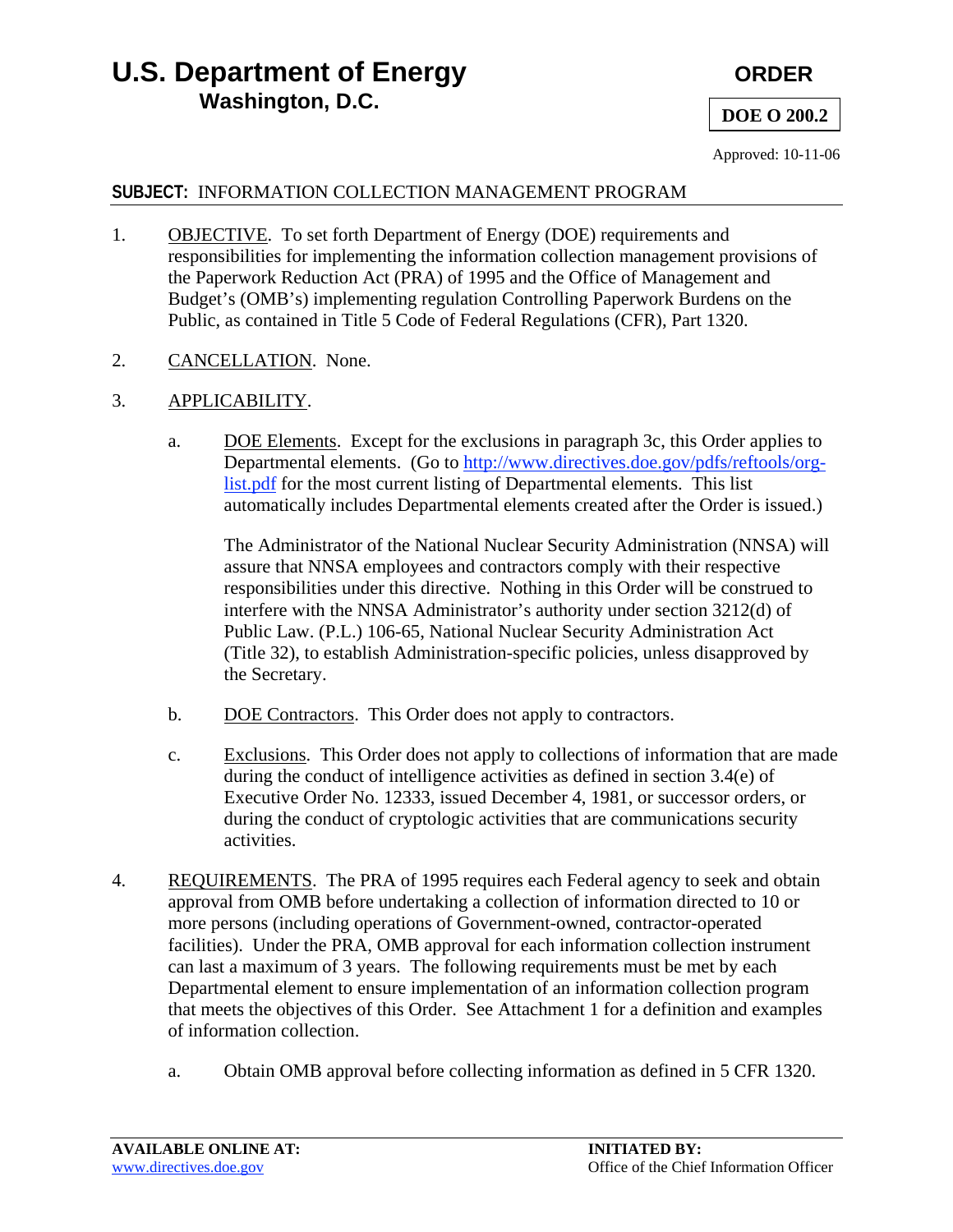# **U.S. Department of Energy CRDER CRDER Washington, D.C. D.C. DOE O 200.2**

Approved: 10-11-06

## **SUBJECT:** INFORMATION COLLECTION MANAGEMENT PROGRAM

- 1. OBJECTIVE. To set forth Department of Energy (DOE) requirements and responsibilities for implementing the information collection management provisions of the Paperwork Reduction Act (PRA) of 1995 and the Office of Management and Budget's (OMB's) implementing regulation Controlling Paperwork Burdens on the Public, as contained in Title 5 Code of Federal Regulations (CFR), Part 1320.
- 2. CANCELLATION. None.
- 3. APPLICABILITY.
	- a. DOE Elements. Except for the exclusions in paragraph 3c, this Order applies to Departmental elements. (Go to [http://www.directives.doe.gov/pdfs/reftools/org](https://www.directives.doe.gov/references/DOEDepartmentalElements.pdf)[list.pdf](http://www.directives.doe.gov/pdfs/reftools/org-list.pdf) for the most current listing of Departmental elements. This list automatically includes Departmental elements created after the Order is issued.)

The Administrator of the National Nuclear Security Administration (NNSA) will assure that NNSA employees and contractors comply with their respective responsibilities under this directive. Nothing in this Order will be construed to interfere with the NNSA Administrator's authority under section 3212(d) of Public Law. (P.L.) 106-65, National Nuclear Security Administration Act (Title 32), to establish Administration-specific policies, unless disapproved by the Secretary.

- b. DOE Contractors. This Order does not apply to contractors.
- c. Exclusions. This Order does not apply to collections of information that are made during the conduct of intelligence activities as defined in section 3.4(e) of Executive Order No. 12333, issued December 4, 1981, or successor orders, or during the conduct of cryptologic activities that are communications security activities.
- 4. REQUIREMENTS. The PRA of 1995 requires each Federal agency to seek and obtain approval from OMB before undertaking a collection of information directed to 10 or more persons (including operations of Government-owned, contractor-operated facilities). Under the PRA, OMB approval for each information collection instrument can last a maximum of 3 years. The following requirements must be met by each Departmental element to ensure implementation of an information collection program that meets the objectives of this Order. See Attachment 1 for a definition and examples of information collection.
	- a. Obtain OMB approval before collecting information as defined in 5 CFR 1320.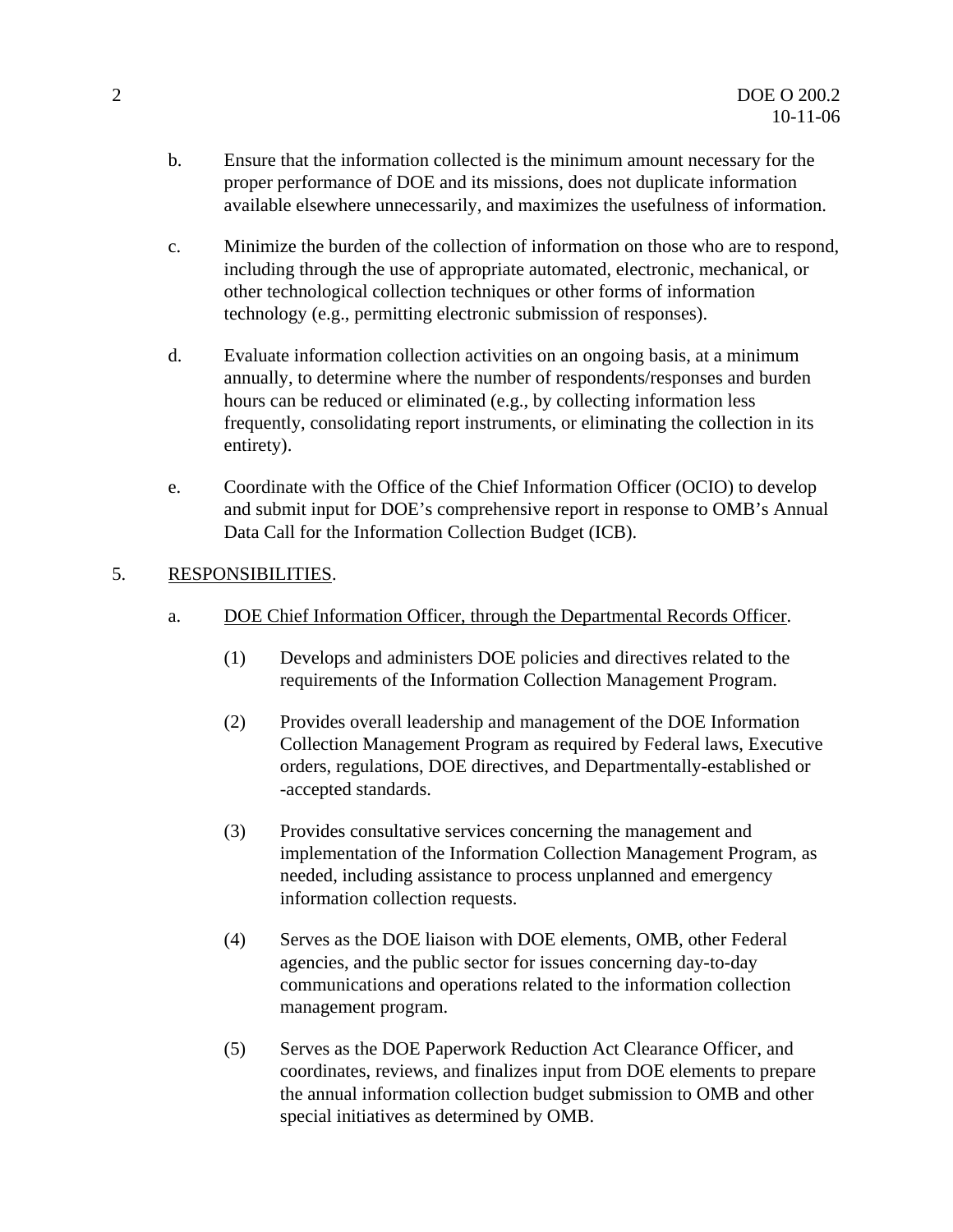- b. Ensure that the information collected is the minimum amount necessary for the proper performance of DOE and its missions, does not duplicate information available elsewhere unnecessarily, and maximizes the usefulness of information.
- c. Minimize the burden of the collection of information on those who are to respond, including through the use of appropriate automated, electronic, mechanical, or other technological collection techniques or other forms of information technology (e.g., permitting electronic submission of responses).
- d. Evaluate information collection activities on an ongoing basis, at a minimum annually, to determine where the number of respondents/responses and burden hours can be reduced or eliminated (e.g., by collecting information less frequently, consolidating report instruments, or eliminating the collection in its entirety).
- e. Coordinate with the Office of the Chief Information Officer (OCIO) to develop and submit input for DOE's comprehensive report in response to OMB's Annual Data Call for the Information Collection Budget (ICB).

### 5. RESPONSIBILITIES.

- a. DOE Chief Information Officer, through the Departmental Records Officer.
	- (1) Develops and administers DOE policies and directives related to the requirements of the Information Collection Management Program.
	- (2) Provides overall leadership and management of the DOE Information Collection Management Program as required by Federal laws, Executive orders, regulations, DOE directives, and Departmentally-established or -accepted standards.
	- (3) Provides consultative services concerning the management and implementation of the Information Collection Management Program, as needed, including assistance to process unplanned and emergency information collection requests.
	- (4) Serves as the DOE liaison with DOE elements, OMB, other Federal agencies, and the public sector for issues concerning day-to-day communications and operations related to the information collection management program.
	- (5) Serves as the DOE Paperwork Reduction Act Clearance Officer, and coordinates, reviews, and finalizes input from DOE elements to prepare the annual information collection budget submission to OMB and other special initiatives as determined by OMB.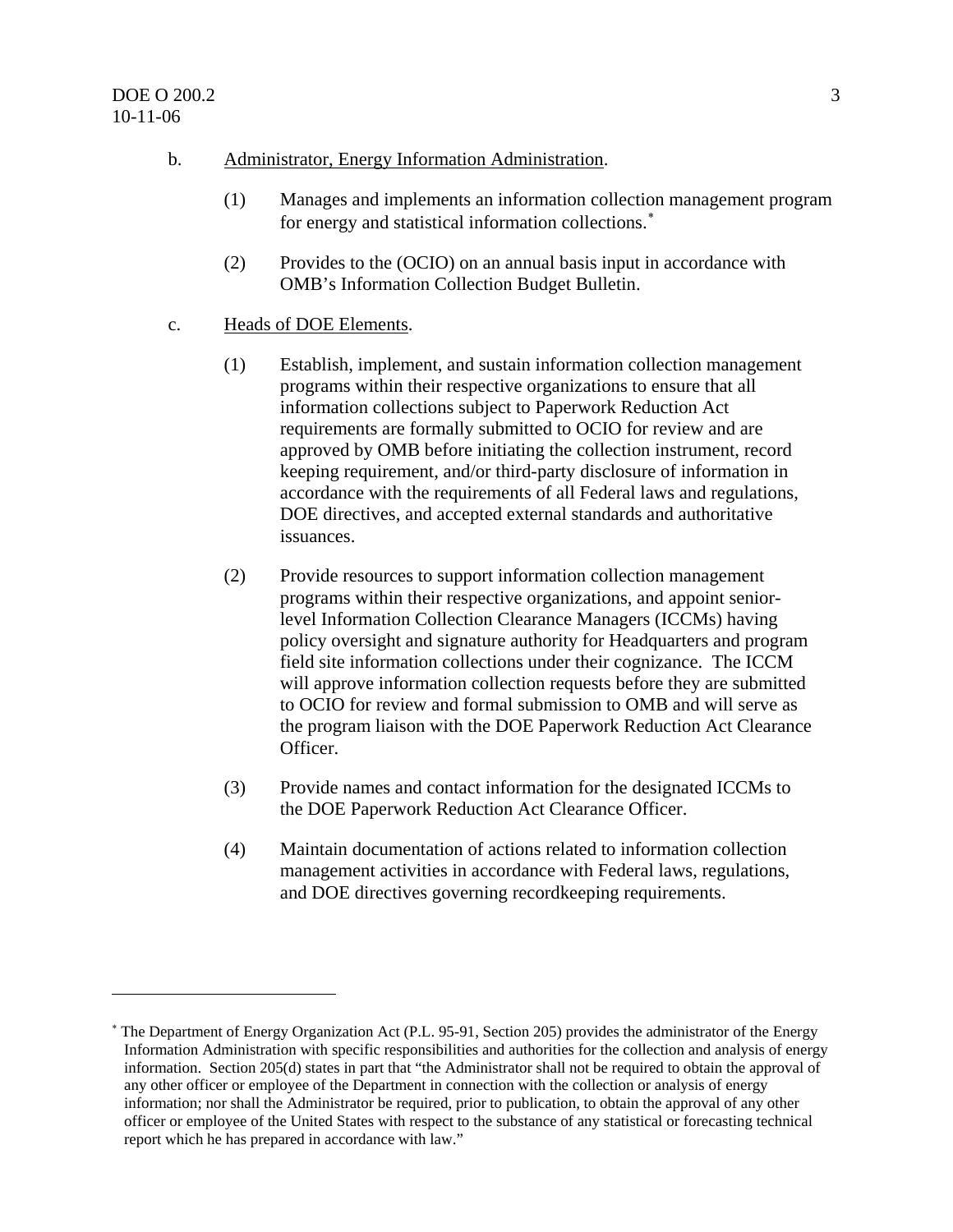$\overline{a}$ 

- b. Administrator, Energy Information Administration.
	- (1) Manages and implements an information collection management program for energy and statistical information collections.<sup>[∗](#page-2-0)</sup>
	- (2) Provides to the (OCIO) on an annual basis input in accordance with OMB's Information Collection Budget Bulletin.
- c. Heads of DOE Elements.
	- (1) Establish, implement, and sustain information collection management programs within their respective organizations to ensure that all information collections subject to Paperwork Reduction Act requirements are formally submitted to OCIO for review and are approved by OMB before initiating the collection instrument, record keeping requirement, and/or third-party disclosure of information in accordance with the requirements of all Federal laws and regulations, DOE directives, and accepted external standards and authoritative issuances.
	- (2) Provide resources to support information collection management programs within their respective organizations, and appoint seniorlevel Information Collection Clearance Managers (ICCMs) having policy oversight and signature authority for Headquarters and program field site information collections under their cognizance. The ICCM will approve information collection requests before they are submitted to OCIO for review and formal submission to OMB and will serve as the program liaison with the DOE Paperwork Reduction Act Clearance Officer.
	- (3) Provide names and contact information for the designated ICCMs to the DOE Paperwork Reduction Act Clearance Officer.
	- (4) Maintain documentation of actions related to information collection management activities in accordance with Federal laws, regulations, and DOE directives governing recordkeeping requirements.

<span id="page-2-0"></span><sup>∗</sup> The Department of Energy Organization Act (P.L. 95-91, Section 205) provides the administrator of the Energy Information Administration with specific responsibilities and authorities for the collection and analysis of energy information. Section 205(d) states in part that "the Administrator shall not be required to obtain the approval of any other officer or employee of the Department in connection with the collection or analysis of energy information; nor shall the Administrator be required, prior to publication, to obtain the approval of any other officer or employee of the United States with respect to the substance of any statistical or forecasting technical report which he has prepared in accordance with law."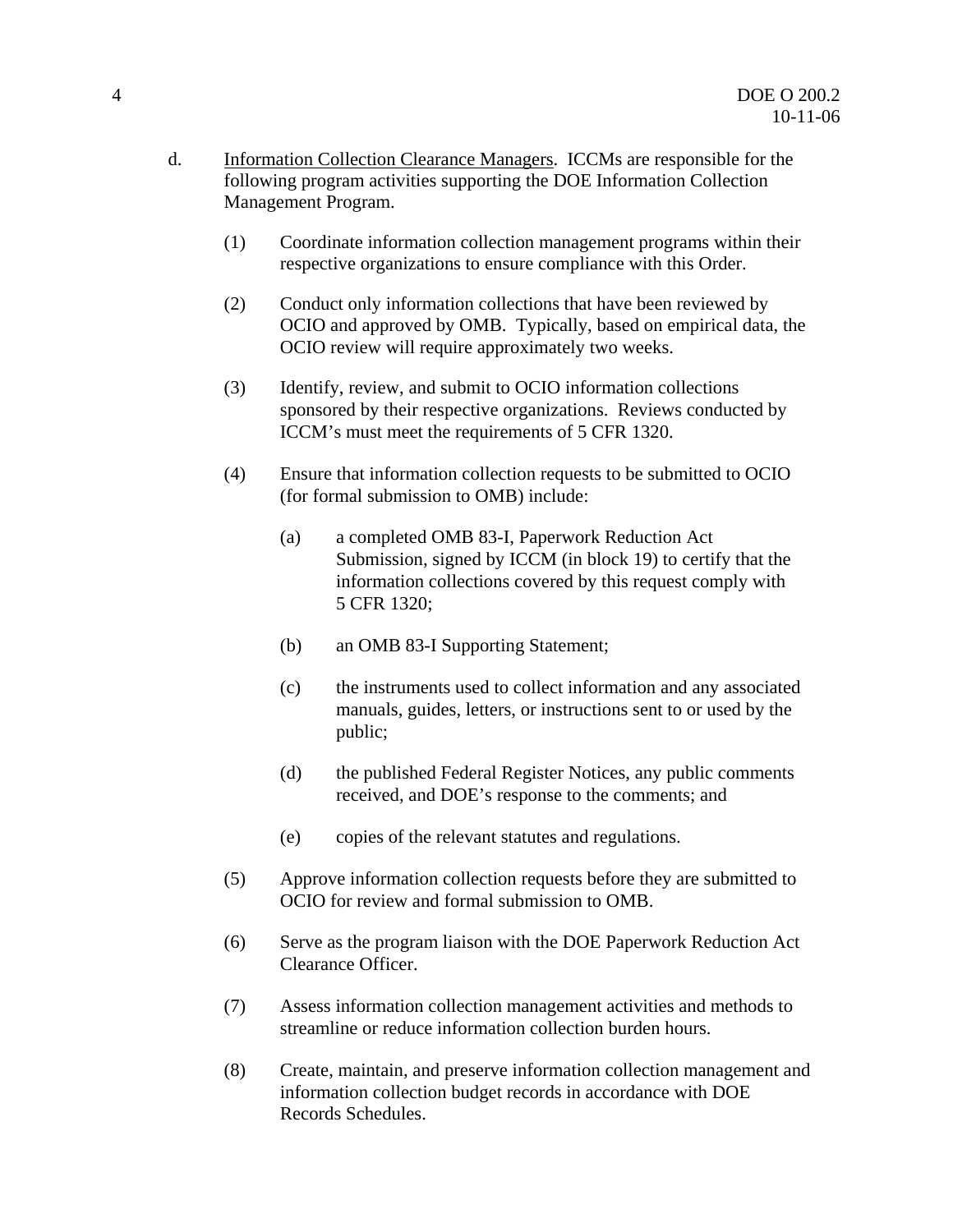- d. Information Collection Clearance Managers. ICCMs are responsible for the following program activities supporting the DOE Information Collection Management Program.
	- (1) Coordinate information collection management programs within their respective organizations to ensure compliance with this Order.
	- (2) Conduct only information collections that have been reviewed by OCIO and approved by OMB. Typically, based on empirical data, the OCIO review will require approximately two weeks.
	- (3) Identify, review, and submit to OCIO information collections sponsored by their respective organizations. Reviews conducted by ICCM's must meet the requirements of 5 CFR 1320.
	- (4) Ensure that information collection requests to be submitted to OCIO (for formal submission to OMB) include:
		- (a) a completed OMB 83-I, Paperwork Reduction Act Submission, signed by ICCM (in block 19) to certify that the information collections covered by this request comply with 5 CFR 1320;
		- (b) an OMB 83-I Supporting Statement;
		- (c) the instruments used to collect information and any associated manuals, guides, letters, or instructions sent to or used by the public;
		- (d) the published Federal Register Notices, any public comments received, and DOE's response to the comments; and
		- (e) copies of the relevant statutes and regulations.
	- (5) Approve information collection requests before they are submitted to OCIO for review and formal submission to OMB.
	- (6) Serve as the program liaison with the DOE Paperwork Reduction Act Clearance Officer.
	- (7) Assess information collection management activities and methods to streamline or reduce information collection burden hours.
	- (8) [Create, maintain, and preserve information collection management and](http://cio.doe.gov/RBManagement/Records/records.html)  [information collection budget records in accordance with DOE](http://cio.doe.gov/RBManagement/Records/records.html)  [Records Schedules.](http://cio.doe.gov/RBManagement/Records/records.html)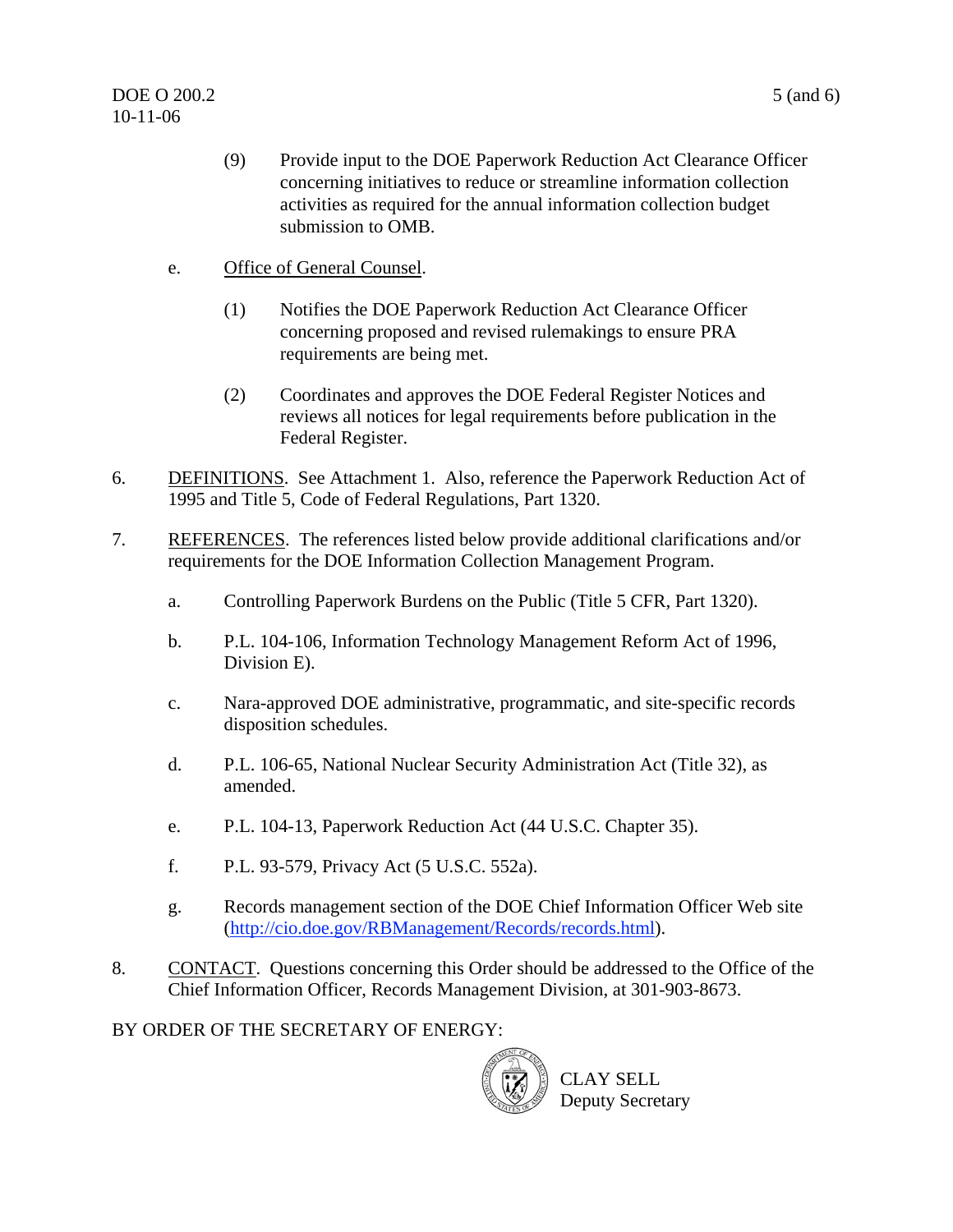- (9) Provide input to the DOE Paperwork Reduction Act Clearance Officer concerning initiatives to reduce or streamline information collection activities as required for the annual information collection budget submission to OMB.
- e. Office of General Counsel.
	- (1) Notifies the DOE Paperwork Reduction Act Clearance Officer concerning proposed and revised rulemakings to ensure PRA requirements are being met.
	- (2) Coordinates and approves the DOE Federal Register Notices and reviews all notices for legal requirements before publication in the Federal Register.
- 6. DEFINITIONS. See Attachment 1. Also, reference the Paperwork Reduction Act of 1995 and Title 5, Code of Federal Regulations, Part 1320.
- 7. REFERENCES. The references listed below provide additional clarifications and/or requirements for the DOE Information Collection Management Program.
	- a. Controlling Paperwork Burdens on the Public (Title 5 CFR, Part 1320).
	- b. P.L. 104-106, Information Technology Management Reform Act of 1996, Division E).
	- c. Nara-approved DOE administrative, programmatic, and site-specific records disposition schedules.
	- d. P.L. 106-65, National Nuclear Security Administration Act (Title 32), as amended.
	- e. P.L. 104-13, Paperwork Reduction Act (44 U.S.C. Chapter 35).
	- f. P.L. 93-579, Privacy Act (5 U.S.C. 552a).
	- g. Records management section of the DOE Chief Information Officer Web site ([http://cio.doe.gov/RBManagement/Records/records.html\)](http://cio.doe.gov/RBManagement/Records/records.html).
- 8. CONTACT. Questions concerning this Order should be addressed to the Office of the Chief Information Officer, Records Management Division, at 301-903-8673.
- BY ORDER OF THE SECRETARY OF ENERGY:

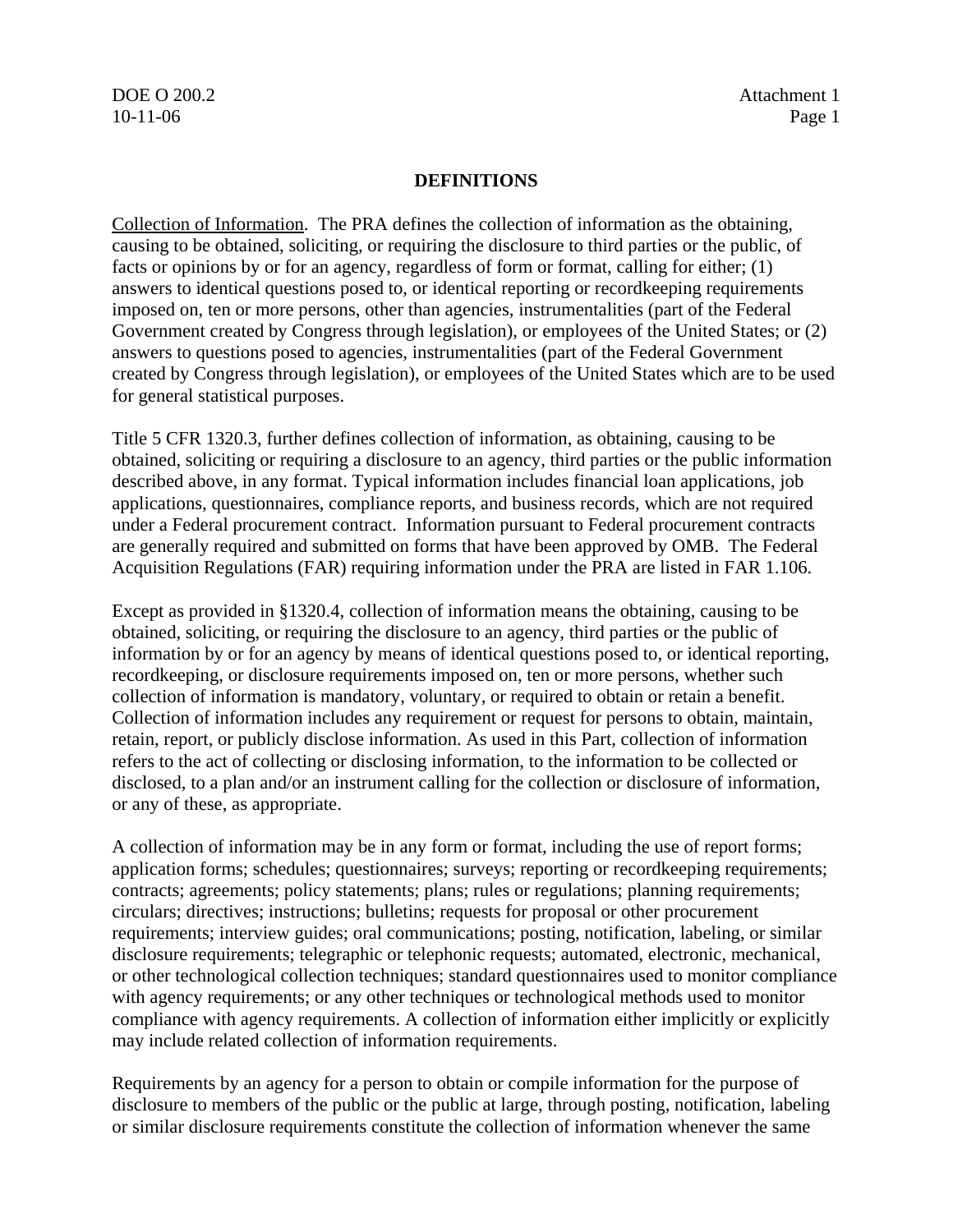DOE O 200.2 Attachment 1

### **DEFINITIONS**

Collection of Information. The PRA defines the collection of information as the obtaining, causing to be obtained, soliciting, or requiring the disclosure to third parties or the public, of facts or opinions by or for an agency, regardless of form or format, calling for either; (1) answers to identical questions posed to, or identical reporting or recordkeeping requirements imposed on, ten or more persons, other than agencies, instrumentalities (part of the Federal Government created by Congress through legislation), or employees of the United States; or (2) answers to questions posed to agencies, instrumentalities (part of the Federal Government created by Congress through legislation), or employees of the United States which are to be used for general statistical purposes.

Title 5 CFR 1320.3, further defines collection of information, as obtaining, causing to be obtained, soliciting or requiring a disclosure to an agency, third parties or the public information described above, in any format. Typical information includes financial loan applications, job applications, questionnaires, compliance reports, and business records, which are not required under a Federal procurement contract. Information pursuant to Federal procurement contracts are generally required and submitted on forms that have been approved by OMB. The Federal Acquisition Regulations (FAR) requiring information under the PRA are listed in FAR 1.106.

Except as provided in §1320.4, collection of information means the obtaining, causing to be obtained, soliciting, or requiring the disclosure to an agency, third parties or the public of information by or for an agency by means of identical questions posed to, or identical reporting, recordkeeping, or disclosure requirements imposed on, ten or more persons, whether such collection of information is mandatory, voluntary, or required to obtain or retain a benefit. Collection of information includes any requirement or request for persons to obtain, maintain, retain, report, or publicly disclose information. As used in this Part, collection of information refers to the act of collecting or disclosing information, to the information to be collected or disclosed, to a plan and/or an instrument calling for the collection or disclosure of information, or any of these, as appropriate.

A collection of information may be in any form or format, including the use of report forms; application forms; schedules; questionnaires; surveys; reporting or recordkeeping requirements; contracts; agreements; policy statements; plans; rules or regulations; planning requirements; circulars; directives; instructions; bulletins; requests for proposal or other procurement requirements; interview guides; oral communications; posting, notification, labeling, or similar disclosure requirements; telegraphic or telephonic requests; automated, electronic, mechanical, or other technological collection techniques; standard questionnaires used to monitor compliance with agency requirements; or any other techniques or technological methods used to monitor compliance with agency requirements. A collection of information either implicitly or explicitly may include related collection of information requirements.

Requirements by an agency for a person to obtain or compile information for the purpose of disclosure to members of the public or the public at large, through posting, notification, labeling or similar disclosure requirements constitute the collection of information whenever the same